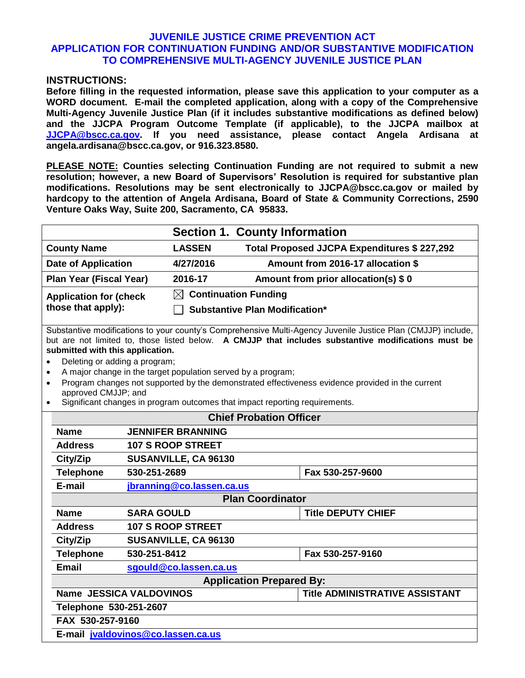## **JUVENILE JUSTICE CRIME PREVENTION ACT APPLICATION FOR CONTINUATION FUNDING AND/OR SUBSTANTIVE MODIFICATION TO COMPREHENSIVE MULTI-AGENCY JUVENILE JUSTICE PLAN**

#### **INSTRUCTIONS:**

**Before filling in the requested information, please save this application to your computer as a WORD document. E-mail the completed application, along with a copy of the Comprehensive Multi-Agency Juvenile Justice Plan (if it includes substantive modifications as defined below) and the JJCPA Program Outcome Template (if applicable), to the JJCPA mailbox at [JJCPA@bscc.ca.gov.](mailto:JJCPA@bscc.ca.gov) If you need assistance, please contact Angela Ardisana at angela.ardisana@bscc.ca.gov, or 916.323.8580.**

**PLEASE NOTE: Counties selecting Continuation Funding are not required to submit a new resolution; however, a new Board of Supervisors' Resolution is required for substantive plan modifications. Resolutions may be sent electronically to JJCPA@bscc.ca.gov or mailed by hardcopy to the attention of Angela Ardisana, Board of State & Community Corrections, 2590 Venture Oaks Way, Suite 200, Sacramento, CA 95833.** 

|                                |                                       | <b>Section 1. County Information</b>        |  |
|--------------------------------|---------------------------------------|---------------------------------------------|--|
| <b>County Name</b>             | <b>LASSEN</b>                         | Total Proposed JJCPA Expenditures \$227,292 |  |
| <b>Date of Application</b>     | 4/27/2016                             | Amount from 2016-17 allocation \$           |  |
| Plan Year (Fiscal Year)        | 2016-17                               | Amount from prior allocation(s) \$0         |  |
| <b>Application for (check)</b> | $\boxtimes$ Continuation Funding      |                                             |  |
| those that apply):             | <b>Substantive Plan Modification*</b> |                                             |  |
|                                |                                       |                                             |  |

Substantive modifications to your county's Comprehensive Multi-Agency Juvenile Justice Plan (CMJJP) include, but are not limited to, those listed below. **A CMJJP that includes substantive modifications must be submitted with this application.**

- Deleting or adding a program;
- A major change in the target population served by a program;
- Program changes not supported by the demonstrated effectiveness evidence provided in the current approved CMJJP; and
- Significant changes in program outcomes that impact reporting requirements.

| <b>Chief Probation Officer</b>                                          |                                                |                  |  |  |
|-------------------------------------------------------------------------|------------------------------------------------|------------------|--|--|
| <b>Name</b>                                                             | <b>JENNIFER BRANNING</b>                       |                  |  |  |
| <b>Address</b>                                                          | <b>107 S ROOP STREET</b>                       |                  |  |  |
| City/Zip                                                                | SUSANVILLE, CA 96130                           |                  |  |  |
| <b>Telephone</b>                                                        | Fax 530-257-9600<br>530-251-2689               |                  |  |  |
| E-mail                                                                  | jbranning@co.lassen.ca.us                      |                  |  |  |
|                                                                         | <b>Plan Coordinator</b>                        |                  |  |  |
| <b>Name</b>                                                             | <b>SARA GOULD</b><br><b>Title DEPUTY CHIEF</b> |                  |  |  |
| <b>107 S ROOP STREET</b><br><b>Address</b>                              |                                                |                  |  |  |
| City/Zip                                                                | SUSANVILLE, CA 96130                           |                  |  |  |
| <b>Telephone</b>                                                        | 530-251-8412                                   | Fax 530-257-9160 |  |  |
| <b>Email</b>                                                            | sgould@co.lassen.ca.us                         |                  |  |  |
| <b>Application Prepared By:</b>                                         |                                                |                  |  |  |
| <b>Name JESSICA VALDOVINOS</b><br><b>Title ADMINISTRATIVE ASSISTANT</b> |                                                |                  |  |  |
| Telephone 530-251-2607                                                  |                                                |                  |  |  |
| FAX 530-257-9160                                                        |                                                |                  |  |  |
| E-mail jvaldovinos@co.lassen.ca.us                                      |                                                |                  |  |  |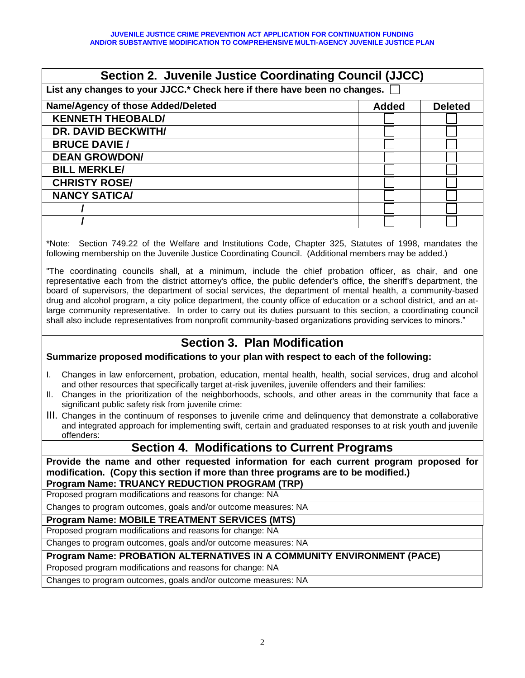| Section 2. Juvenile Justice Coordinating Council (JJCC)                                                                                                                                                                                                                                                                                                                                                                                                                                                                                                                                                                                                                                                                                                                                                                                                                                                                         |                                |  |  |
|---------------------------------------------------------------------------------------------------------------------------------------------------------------------------------------------------------------------------------------------------------------------------------------------------------------------------------------------------------------------------------------------------------------------------------------------------------------------------------------------------------------------------------------------------------------------------------------------------------------------------------------------------------------------------------------------------------------------------------------------------------------------------------------------------------------------------------------------------------------------------------------------------------------------------------|--------------------------------|--|--|
| List any changes to your JJCC.* Check here if there have been no changes.                                                                                                                                                                                                                                                                                                                                                                                                                                                                                                                                                                                                                                                                                                                                                                                                                                                       |                                |  |  |
| Name/Agency of those Added/Deleted                                                                                                                                                                                                                                                                                                                                                                                                                                                                                                                                                                                                                                                                                                                                                                                                                                                                                              | <b>Added</b><br><b>Deleted</b> |  |  |
| <b>KENNETH THEOBALD/</b>                                                                                                                                                                                                                                                                                                                                                                                                                                                                                                                                                                                                                                                                                                                                                                                                                                                                                                        |                                |  |  |
| <b>DR. DAVID BECKWITH/</b>                                                                                                                                                                                                                                                                                                                                                                                                                                                                                                                                                                                                                                                                                                                                                                                                                                                                                                      |                                |  |  |
| <b>BRUCE DAVIE /</b>                                                                                                                                                                                                                                                                                                                                                                                                                                                                                                                                                                                                                                                                                                                                                                                                                                                                                                            |                                |  |  |
| <b>DEAN GROWDON/</b>                                                                                                                                                                                                                                                                                                                                                                                                                                                                                                                                                                                                                                                                                                                                                                                                                                                                                                            |                                |  |  |
| <b>BILL MERKLE/</b>                                                                                                                                                                                                                                                                                                                                                                                                                                                                                                                                                                                                                                                                                                                                                                                                                                                                                                             |                                |  |  |
| <b>CHRISTY ROSE/</b>                                                                                                                                                                                                                                                                                                                                                                                                                                                                                                                                                                                                                                                                                                                                                                                                                                                                                                            |                                |  |  |
| <b>NANCY SATICA/</b>                                                                                                                                                                                                                                                                                                                                                                                                                                                                                                                                                                                                                                                                                                                                                                                                                                                                                                            |                                |  |  |
|                                                                                                                                                                                                                                                                                                                                                                                                                                                                                                                                                                                                                                                                                                                                                                                                                                                                                                                                 |                                |  |  |
|                                                                                                                                                                                                                                                                                                                                                                                                                                                                                                                                                                                                                                                                                                                                                                                                                                                                                                                                 |                                |  |  |
| *Note: Section 749.22 of the Welfare and Institutions Code, Chapter 325, Statutes of 1998, mandates the<br>following membership on the Juvenile Justice Coordinating Council. (Additional members may be added.)<br>"The coordinating councils shall, at a minimum, include the chief probation officer, as chair, and one<br>representative each from the district attorney's office, the public defender's office, the sheriff's department, the<br>board of supervisors, the department of social services, the department of mental health, a community-based<br>drug and alcohol program, a city police department, the county office of education or a school district, and an at-<br>large community representative. In order to carry out its duties pursuant to this section, a coordinating council<br>shall also include representatives from nonprofit community-based organizations providing services to minors." |                                |  |  |
| <b>Section 3. Plan Modification</b>                                                                                                                                                                                                                                                                                                                                                                                                                                                                                                                                                                                                                                                                                                                                                                                                                                                                                             |                                |  |  |
| Summarize proposed modifications to your plan with respect to each of the following:                                                                                                                                                                                                                                                                                                                                                                                                                                                                                                                                                                                                                                                                                                                                                                                                                                            |                                |  |  |
| Changes in law enforcement, probation, education, mental health, health, social services, drug and alcohol<br>I.<br>and other resources that specifically target at-risk juveniles, juvenile offenders and their families:<br>Changes in the prioritization of the neighborhoods, schools, and other areas in the community that face a<br>Н.<br>significant public safety risk from juvenile crime:                                                                                                                                                                                                                                                                                                                                                                                                                                                                                                                            |                                |  |  |

III. Changes in the continuum of responses to juvenile crime and delinquency that demonstrate a collaborative and integrated approach for implementing swift, certain and graduated responses to at risk youth and juvenile offenders:

# **Section 4. Modifications to Current Programs**

**Provide the name and other requested information for each current program proposed for modification. (Copy this section if more than three programs are to be modified.)**

#### **Program Name: TRUANCY REDUCTION PROGRAM (TRP)**

Proposed program modifications and reasons for change: NA

Changes to program outcomes, goals and/or outcome measures: NA

**Program Name: MOBILE TREATMENT SERVICES (MTS)**

Proposed program modifications and reasons for change: NA

Changes to program outcomes, goals and/or outcome measures: NA

### **Program Name: PROBATION ALTERNATIVES IN A COMMUNITY ENVIRONMENT (PACE)**

Proposed program modifications and reasons for change: NA

Changes to program outcomes, goals and/or outcome measures: NA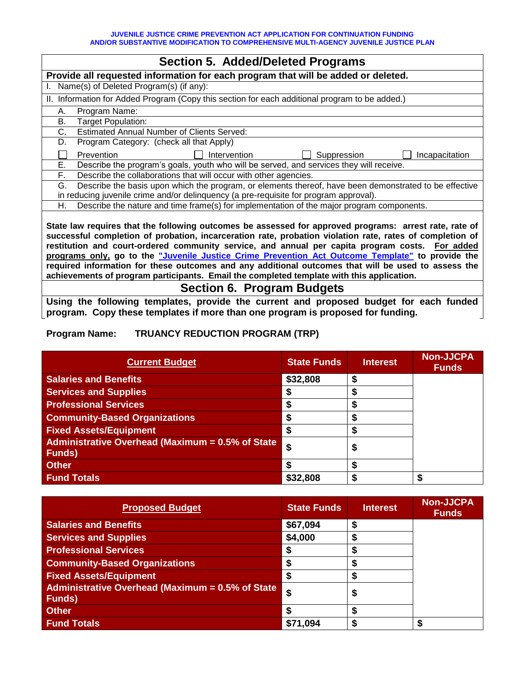| <b>Section 5. Added/Deleted Programs</b>                                                                                                                                                                                                                                                                                                                                                                                                                                                                                         |  |  |  |  |
|----------------------------------------------------------------------------------------------------------------------------------------------------------------------------------------------------------------------------------------------------------------------------------------------------------------------------------------------------------------------------------------------------------------------------------------------------------------------------------------------------------------------------------|--|--|--|--|
| Provide all requested information for each program that will be added or deleted.                                                                                                                                                                                                                                                                                                                                                                                                                                                |  |  |  |  |
| Name(s) of Deleted Program(s) (if any):                                                                                                                                                                                                                                                                                                                                                                                                                                                                                          |  |  |  |  |
| II. Information for Added Program (Copy this section for each additional program to be added.)                                                                                                                                                                                                                                                                                                                                                                                                                                   |  |  |  |  |
| Program Name:<br>А.                                                                                                                                                                                                                                                                                                                                                                                                                                                                                                              |  |  |  |  |
| Target Population:<br>В.                                                                                                                                                                                                                                                                                                                                                                                                                                                                                                         |  |  |  |  |
| C.<br><b>Estimated Annual Number of Clients Served:</b>                                                                                                                                                                                                                                                                                                                                                                                                                                                                          |  |  |  |  |
| Program Category: (check all that Apply)<br>D.                                                                                                                                                                                                                                                                                                                                                                                                                                                                                   |  |  |  |  |
| Suppression<br>Intervention<br>Incapacitation<br><b>Prevention</b>                                                                                                                                                                                                                                                                                                                                                                                                                                                               |  |  |  |  |
| Е.<br>Describe the program's goals, youth who will be served, and services they will receive.                                                                                                                                                                                                                                                                                                                                                                                                                                    |  |  |  |  |
| F.<br>Describe the collaborations that will occur with other agencies.                                                                                                                                                                                                                                                                                                                                                                                                                                                           |  |  |  |  |
| Describe the basis upon which the program, or elements thereof, have been demonstrated to be effective<br>G.                                                                                                                                                                                                                                                                                                                                                                                                                     |  |  |  |  |
| in reducing juvenile crime and/or delinquency (a pre-requisite for program approval).                                                                                                                                                                                                                                                                                                                                                                                                                                            |  |  |  |  |
| Describe the nature and time frame(s) for implementation of the major program components.<br>Η.                                                                                                                                                                                                                                                                                                                                                                                                                                  |  |  |  |  |
| State law requires that the following outcomes be assessed for approved programs: arrest rate, rate of<br>successful completion of probation, incarceration rate, probation violation rate, rates of completion of<br>restitution and court-ordered community service, and annual per capita program costs. For added<br>programs only, go to the "Juvenile Justice Crime Prevention Act Outcome Template" to provide the<br>required information for these outcomes and any additional outcomes that will be used to assess the |  |  |  |  |

**achievements of program participants. Email the completed template with this application.** 

# **Section 6. Program Budgets**

**Using the following templates, provide the current and proposed budget for each funded program. Copy these templates if more than one program is proposed for funding.** 

## **Program Name: TRUANCY REDUCTION PROGRAM (TRP)**

| <b>Current Budget</b>                                              | <b>State Funds</b> | <b>Interest</b> | <b>Non-JJCPA</b><br><b>Funds</b> |
|--------------------------------------------------------------------|--------------------|-----------------|----------------------------------|
| <b>Salaries and Benefits</b>                                       | \$32,808           |                 |                                  |
| <b>Services and Supplies</b>                                       |                    |                 |                                  |
| <b>Professional Services</b>                                       |                    |                 |                                  |
| <b>Community-Based Organizations</b>                               |                    |                 |                                  |
| <b>Fixed Assets/Equipment</b>                                      |                    |                 |                                  |
| Administrative Overhead (Maximum = 0.5% of State<br><b>Funds</b> ) | \$                 | D               |                                  |
| <b>Other</b>                                                       |                    |                 |                                  |
| <b>Fund Totals</b>                                                 | \$32,808           |                 |                                  |

| <b>Proposed Budget</b>                                             | <b>State Funds</b> | <b>Interest</b> | <b>Non-JJCPA</b><br><b>Funds</b> |
|--------------------------------------------------------------------|--------------------|-----------------|----------------------------------|
| <b>Salaries and Benefits</b>                                       | \$67,094           |                 |                                  |
| <b>Services and Supplies</b>                                       | \$4,000            |                 |                                  |
| <b>Professional Services</b>                                       |                    |                 |                                  |
| <b>Community-Based Organizations</b>                               |                    |                 |                                  |
| <b>Fixed Assets/Equipment</b>                                      |                    |                 |                                  |
| Administrative Overhead (Maximum = 0.5% of State<br><b>Funds</b> ) | \$                 |                 |                                  |
| <b>Other</b>                                                       |                    |                 |                                  |
| <b>Fund Totals</b>                                                 | \$71,094           |                 |                                  |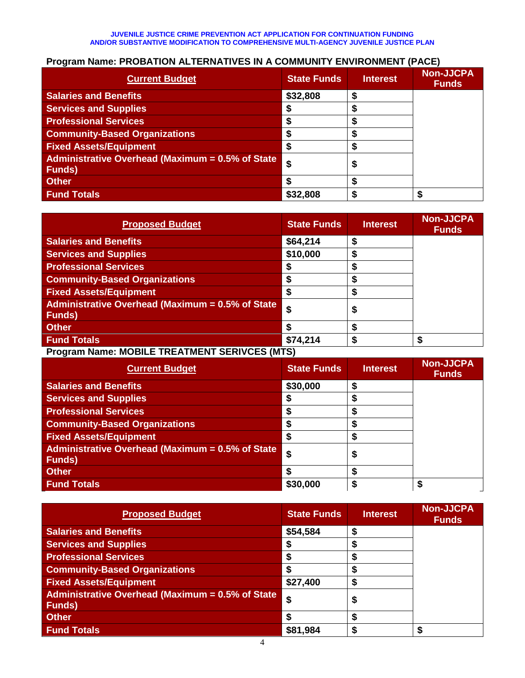#### **JUVENILE JUSTICE CRIME PREVENTION ACT APPLICATION FOR CONTINUATION FUNDING AND/OR SUBSTANTIVE MODIFICATION TO COMPREHENSIVE MULTI-AGENCY JUVENILE JUSTICE PLAN**

## **Program Name: PROBATION ALTERNATIVES IN A COMMUNITY ENVIRONMENT (PACE)**

| <b>Current Budget</b>                                             | <b>State Funds</b> | <b>Interest</b> | <b>Non-JJCPA</b><br><b>Funds</b> |
|-------------------------------------------------------------------|--------------------|-----------------|----------------------------------|
| <b>Salaries and Benefits</b>                                      | \$32,808           |                 |                                  |
| <b>Services and Supplies</b>                                      |                    |                 |                                  |
| <b>Professional Services</b>                                      |                    |                 |                                  |
| <b>Community-Based Organizations</b>                              |                    |                 |                                  |
| <b>Fixed Assets/Equipment</b>                                     |                    |                 |                                  |
| Administrative Overhead (Maximum = 0.5% of State<br><b>Funds)</b> | \$                 | Ð               |                                  |
| <b>Other</b>                                                      |                    |                 |                                  |
| <b>Fund Totals</b>                                                | \$32,808           |                 |                                  |

| <b>Proposed Budget</b>                                             | <b>State Funds</b> | <b>Interest</b> | <b>Non-JJCPA</b><br><b>Funds</b> |
|--------------------------------------------------------------------|--------------------|-----------------|----------------------------------|
| <b>Salaries and Benefits</b>                                       | \$64,214           | S               |                                  |
| <b>Services and Supplies</b>                                       | \$10,000           | æ               |                                  |
| <b>Professional Services</b>                                       |                    |                 |                                  |
| <b>Community-Based Organizations</b>                               |                    | œ               |                                  |
| <b>Fixed Assets/Equipment</b>                                      |                    | œ               |                                  |
| Administrative Overhead (Maximum = 0.5% of State<br><b>Funds</b> ) | \$                 | \$              |                                  |
| <b>Other</b>                                                       |                    | S               |                                  |
| <b>Fund Totals</b>                                                 | \$74,214           |                 | \$                               |
| <b>Drogram Namo: MODILE TDEATMENT CEDIVACE (MTC)</b>               |                    |                 |                                  |

## **Program Name: MOBILE TREATMENT SERIVCES (MTS)**

| <b>Current Budget</b>                                                    | <b>State Funds</b> | <b>Interest</b> | <b>Non-JJCPA</b><br><b>Funds</b> |
|--------------------------------------------------------------------------|--------------------|-----------------|----------------------------------|
| <b>Salaries and Benefits</b>                                             | \$30,000           | S               |                                  |
| <b>Services and Supplies</b>                                             |                    |                 |                                  |
| <b>Professional Services</b>                                             |                    |                 |                                  |
| <b>Community-Based Organizations</b>                                     |                    |                 |                                  |
| <b>Fixed Assets/Equipment</b>                                            |                    |                 |                                  |
| <b>Administrative Overhead (Maximum = 0.5% of State</b><br><b>Funds)</b> | \$                 | Φ               |                                  |
| <b>Other</b>                                                             |                    |                 |                                  |
| <b>Fund Totals</b>                                                       | \$30,000           |                 |                                  |

| <b>Proposed Budget</b>                                            | <b>State Funds</b> | <b>Interest</b> | <b>Non-JJCPA</b><br><b>Funds</b> |
|-------------------------------------------------------------------|--------------------|-----------------|----------------------------------|
| <b>Salaries and Benefits</b>                                      | \$54,584           | S               |                                  |
| <b>Services and Supplies</b>                                      |                    |                 |                                  |
| <b>Professional Services</b>                                      |                    |                 |                                  |
| <b>Community-Based Organizations</b>                              |                    |                 |                                  |
| <b>Fixed Assets/Equipment</b>                                     | \$27,400           |                 |                                  |
| Administrative Overhead (Maximum = 0.5% of State<br><b>Funds)</b> | \$                 | ⊕               |                                  |
| <b>Other</b>                                                      |                    | S               |                                  |
| <b>Fund Totals</b>                                                | \$81,984           |                 |                                  |